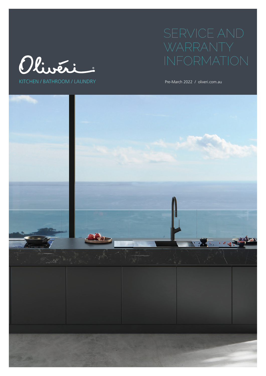



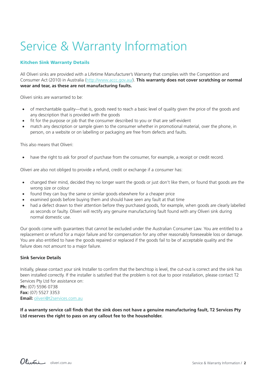# Service & Warranty Information

# Kitchen Sink Warranty Details

All Oliveri sinks are provided with a Lifetime Manufacturer's Warranty that complies with the Competition and Consumer Act (2010) in Australia (http://www.accc.gov.au/). **This warranty does not cover scratching or normal wear and tear, as these are not manufacturing faults.**

Oliveri sinks are warranted to be:

- of merchantable quality—that is, goods need to reach a basic level of quality given the price of the goods and any description that is provided with the goods
- fit for the purpose or job that the consumer described to you or that are self-evident
- match any description or sample given to the consumer whether in promotional material, over the phone, in person, on a website or on labelling or packaging are free from defects and faults.

This also means that Oliveri:

• have the right to ask for proof of purchase from the consumer, for example, a receipt or credit record.

Oliveri are also not obliged to provide a refund, credit or exchange if a consumer has:

- changed their mind, decided they no longer want the goods or just don't like them, or found that goods are the wrong size or colour
- found they can buy the same or similar goods elsewhere for a cheaper price
- examined goods before buying them and should have seen any fault at that time
- had a defect drawn to their attention before they purchased goods, for example, when goods are clearly labelled as seconds or faulty. Oliveri will rectify any genuine manufacturing fault found with any Oliveri sink during normal domestic use.

Our goods come with guarantees that cannot be excluded under the Australian Consumer Law. You are entitled to a replacement or refund for a major failure and for compensation for any other reasonably foreseeable loss or damage. You are also entitled to have the goods repaired or replaced if the goods fail to be of acceptable quality and the failure does not amount to a major failure.

# **Sink Service Details**

Initially, please contact your sink Installer to confirm that the benchtop is level, the cut-out is correct and the sink has been installed correctly. If the installer is satisfied that the problem is not due to poor installation, please contact T2 Services Pty Ltd for assistance on: **Ph:** (07) 5596 0738 **Fax:** (07) 5527 3353

**Email:** oliveri@t2services.com.au

**If a warranty service call finds that the sink does not have a genuine manufacturing fault, T2 Services Pty Ltd reserves the right to pass on any callout fee to the householder.**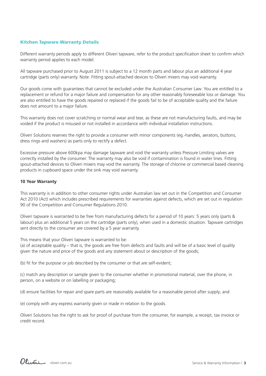# Kitchen Tapware Warranty Details

Different warranty periods apply to different Oliveri tapware, refer to the product specification sheet to confirm which warranty period applies to each model.

All tapware purchased prior to August 2011 is subject to a 12 month parts and labour plus an additional 4 year cartridge (parts only) warranty. Note: Fitting spout-attached devices to Oliveri mixers may void warranty.

Our goods come with guarantees that cannot be excluded under the Australian Consumer Law. You are entitled to a replacement or refund for a major failure and compensation for any other reasonably foreseeable loss or damage. You are also entitled to have the goods repaired or replaced if the goods fail to be of acceptable quality and the failure does not amount to a major failure.

This warranty does not cover scratching or normal wear and tear, as these are not manufacturing faults, and may be voided if the product is misused or not installed in accordance with individual installation instructions.

Oliveri Solutions reserves the right to provide a consumer with minor components (eg.-handles, aerators, buttons, dress rings and washers) as parts only to rectify a defect.

Excessive pressure above 600kpa may damage tapware and void the warranty unless Pressure Limiting valves are correctly installed by the consumer. The warranty may also be void if contamination is found in water lines. Fitting spout-attached devices to Oliveri mixers may void the warranty. The storage of chlorine or commercial based cleaning products in cupboard space under the sink may void warranty.

#### **10 Year Warranty**

This warranty is in addition to other consumer rights under Australian law set out in the Competition and Consumer Act 2010 (Act) which includes prescribed requirements for warranties against defects, which are set out in regulation 90 of the Competition and Consumer Regulations 2010.

Oliveri tapware is warranted to be free from manufacturing defects for a period of 10 years: 5 years only (parts & labour) plus an additional 5 years on the cartridge (parts only), when used in a domestic situation. Tapware cartridges sent directly to the consumer are covered by a 5 year warranty.

This means that your Oliveri tapware is warranted to be:

(a) of acceptable quality – that is, the goods are free from defects and faults and will be of a basic level of quality given the nature and price of the goods and any statement about or description of the goods;

(b) fit for the purpose or job described by the consumer or that are self-evident;

(c) match any description or sample given to the consumer whether in promotional material, over the phone, in person, on a website or on labelling or packaging;

(d) ensure facilities for repair and spare parts are reasonably available for a reasonable period after supply; and

(e) comply with any express warranty given or made in relation to the goods.

Oliveri Solutions has the right to ask for proof of purchase from the consumer, for example, a receipt, tax invoice or credit record.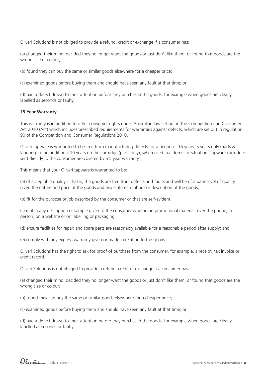Oliveri Solutions is not obliged to provide a refund, credit or exchange if a consumer has:

(a) changed their mind, decided they no longer want the goods or just don't like them, or found that goods are the wrong size or colour;

(b) found they can buy the same or similar goods elsewhere for a cheaper price;

(c) examined goods before buying them and should have seen any fault at that time; or

(d) had a defect drawn to their attention before they purchased the goods, for example when goods are clearly labelled as seconds or faulty.

## **15 Year Warranty**

This warranty is in addition to other consumer rights under Australian law set out in the Competition and Consumer Act 2010 (Act) which includes prescribed requirements for warranties against defects, which are set out in regulation 90 of the Competition and Consumer Regulations 2010.

Oliveri tapware is warranted to be free from manufacturing defects for a period of 15 years: 5 years only (parts & labour) plus an additional 10 years on the cartridge (parts only), when used in a domestic situation. Tapware cartridges sent directly to the consumer are covered by a 5 year warranty.

This means that your Oliveri tapware is warranted to be:

(a) of acceptable quality – that is, the goods are free from defects and faults and will be of a basic level of quality given the nature and price of the goods and any statement about or description of the goods;

(b) fit for the purpose or job described by the consumer or that are self-evident;

(c) match any description or sample given to the consumer whether in promotional material, over the phone, in person, on a website or on labelling or packaging;

(d) ensure facilities for repair and spare parts are reasonably available for a reasonable period after supply; and

(e) comply with any express warranty given or made in relation to the goods.

Oliveri Solutions has the right to ask for proof of purchase from the consumer, for example, a receipt, tax invoice or credit record.

Oliveri Solutions is not obliged to provide a refund, credit or exchange if a consumer has:

(a) changed their mind, decided they no longer want the goods or just don't like them, or found that goods are the wrong size or colour;

(b) found they can buy the same or similar goods elsewhere for a cheaper price;

(c) examined goods before buying them and should have seen any fault at that time; or

(d) had a defect drawn to their attention before they purchased the goods, for example when goods are clearly labelled as seconds or faulty.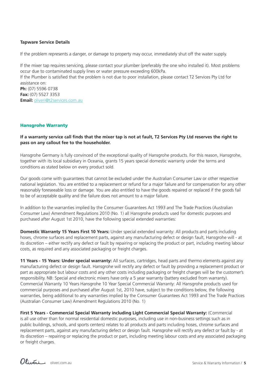# **Tapware Service Details**

If the problem represents a danger, or damage to property may occur, immediately shut off the water supply.

If the mixer tap requires servicing, please contact your plumber (preferably the one who installed it). Most problems occur due to contaminated supply lines or water pressure exceeding 600kPa.

If the Plumber is satisfied that the problem is not due to poor installation, please contact T2 Services Pty Ltd for assistance on:

**Ph:** (07) 5596 0738 **Fax:** (07) 5527 3353 **Email:** oliveri@t2services.com.au

# Hansgrohe Warranty

# **If a warranty service call finds that the mixer tap is not at fault, T2 Services Pty Ltd reserves the right to pass on any callout fee to the householder.**

Hansgrohe Germany is fully convinced of the exceptional quality of Hansgrohe products. For this reason, Hansgrohe, together with its local subsidiary in Oceania, grants 15 years special domestic warranty under the terms and conditions as stated below on every product sold.

Our goods come with guarantees that cannot be excluded under the Australian Consumer Law or other respective national legislation. You are entitled to a replacement or refund for a major failure and for compensation for any other reasonably foreseeable loss or damage. You are also entitled to have the goods repaired or replaced if the goods fail to be of acceptable quality and the failure does not amount to a major failure.

In addition to the warranties implied by the Consumer Guarantees Act 1993 and The Trade Practices (Australian Consumer Law) Amendment Regulations 2010 (No. 1) all Hansgrohe products used for domestic purposes and purchased after August 1st 2010, have the following special extended warranties:

**Domestic Warranty 15 Years First 10 Years:** Under special extended warranty: All products and parts including hoses, chrome surfaces and replacement parts, against any manufacturing defect or design fault, Hansgrohe will - at its discretion – either rectify any defect or fault by repairing or replacing the product or part, including meeting labour costs, as required and any associated packaging or freight charges.

**11 Years - 15 Years: Under special warranty:** All surfaces, cartridges, head parts and thermo elements against any manufacturing defect or design fault. Hansgrohe will rectify any defect or fault by providing a replacement product or part as appropriate but labour costs and any other costs including packaging or freight charges will be the customer's responsibility. NB: Special and electronic mixers have only a 5 year warranty (battery excluded from warranty). Commercial Warranty 10 Years Hansgrohe 10 Year Special Commercial Warranty: All Hansgrohe products used for commercial purposes and purchased after August 1st, 2010 have, subject to the conditions below, the following warranties, being additional to any warranties implied by the Consumer Guarantees Act 1993 and The Trade Practices (Australian Consumer Law) Amendment Regulations 2010 (No. 1)

**First 5 Years - Commercial Special Warranty including Light Commercial Special Warranty:** (Commercial is all use other than for normal residential domestic purposes, including use in non-business settings such as in public buildings, schools, and sports centers) relates to all products and parts including hoses, chrome surfaces and replacement parts, against any manufacturing defect or design fault. Hansgrohe will rectify any defect or fault by - at its discretion – repairing or replacing the product or part, including meeting labour costs and any associated packaging or freight charges.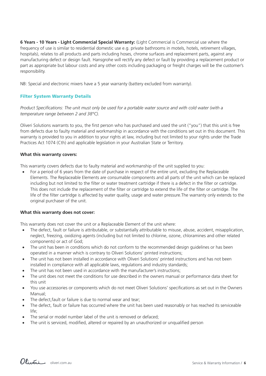**6 Years - 10 Years - Light Commercial Special Warranty:** (Light Commercial is Commercial use where the frequency of use is similar to residential domestic use e.g. private bathrooms in motels, hotels, retirement villages, hospitals), relates to all products and parts including hoses, chrome surfaces and replacement parts, against any manufacturing defect or design fault. Hansgrohe will rectify any defect or fault by providing a replacement product or part as appropriate but labour costs and any other costs including packaging or freight charges will be the customer's responsibility.

NB: Special and electronic mixers have a 5 year warranty (battery excluded from warranty).

# Filter System Warranty Details

*Product Specifications: The unit must only be used for a portable water source and with cold water (with a temperature range between 2 and 38°C).*

Oliveri Solutions warrants to you, the first person who has purchased and used the unit ("you") that this unit is free from defects due to faulty material and workmanship in accordance with the conditions set out in this document. This warranty is provided to you in addition to your rights at law, including but not limited to your rights under the Trade Practices Act 1074 (Cth) and applicable legislation in your Australian State or Territory.

# **What this warranty covers:**

This warranty covers defects due to faulty material and workmanship of the unit supplied to you:

For a period of 6 years from the date of purchase in respect of the entire unit, excluding the Replaceable Elements. The Replaceable Elements are consumable components and all parts of the unit which can be replaced including but not limited to the filter or water treatment cartridge if there is a defect in the filter or cartridge. This does not include the replacement of the filter or cartridge to extend the life of the filter or cartridge. The life of the filter cartridge is affected by water quality, usage and water pressure.The warranty only extends to the original purchaser of the unit.

# **What this warranty does not cover:**

This warranty does not cover the unit or a Replaceable Element of the unit where:

- The defect, fault or failure is attributable, or substantially attributable to misuse, abuse, accident, misapplication, neglect, freezing, oxidizing agents (including but not limited to chlorine, ozone, chloramines and other related components) or act of God;
- The unit has been in conditions which do not conform to the recommended design guidelines or has been operated in a manner which is contrary to Oliveri Solutions' printed instructions;
- The unit has not been installed in accordance with Oliveri Solutions' printed instructions and has not been installed in compliance with all applicable laws, regulations and industry standards;
- The unit has not been used in accordance with the manufacturer's instructions;
- The unit does not meet the conditions for use described in the owners manual or performance data sheet for this unit
- You use accessories or components which do not meet Oliveri Solutions' specifications as set out in the Owners Manual;
- The defect, fault or failure is due to normal wear and tear;
- The defect, fault or failure has occurred where the unit has been used reasonably or has reached its serviceable life;
- The serial or model number label of the unit is removed or defaced:
- The unit is serviced, modified, altered or repaired by an unauthorized or unqualified person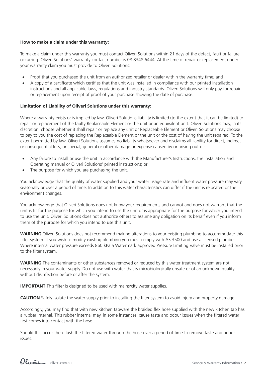## **How to make a claim under this warranty:**

To make a claim under this warranty you must contact Oliveri Solutions within 21 days of the defect, fault or failure occurring. Oliveri Solutions' warranty contact number is 08 8348 6444. At the time of repair or replacement under your warranty claim you must provide to Oliveri Solutions:

- Proof that you purchased the unit from an authorized retailer or dealer within the warranty time; and
- A copy of a certificate which certifies that the unit was installed in compliance with our printed installation instructions and all applicable laws, regulations and industry standards. Oliveri Solutions will only pay for repair or replacement upon receipt of proof of your purchase showing the date of purchase.

## **Limitation of Liability of Oliveri Solutions under this warranty:**

Where a warranty exists or is implied by law, Oliveri Solutions liability is limited (to the extent that it can be limited) to repair or replacement of the faulty Replaceable Element or the unit or an equivalent unit. Oliveri Solutions may, in its discretion, choose whether it shall repair or replace any unit or Replaceable Element or Oliveri Solutions may choose to pay to you the cost of replacing the Replaceable Element or the unit or the cost of having the unit repaired. To the extent permitted by law, Oliveri Solutions assumes no liability whatsoever and disclaims all liability for direct, indirect or consequential loss, or special, general or other damage or expense caused by or arising out of:

- Any failure to install or use the unit in accordance with the Manufacturer's Instructions, the Installation and Operating manual or Oliveri Solutions' printed instructions; or
- The purpose for which you are purchasing the unit.

You acknowledge that the quality of water supplied and your water usage rate and influent water pressure may vary seasonally or over a period of time. In addition to this water characteristics can differ if the unit is relocated or the environment changes.

You acknowledge that Oliveri Solutions does not know your requirements and cannot and does not warrant that the unit is fit for the purpose for which you intend to use the unit or is appropriate for the purpose for which you intend to use the unit. Oliveri Solutions does not authorize others to assume any obligation on its behalf even if you inform them of the purpose for which you intend to use this unit.

**WARNING** Oliveri Solutions does not recommend making alterations to your existing plumbing to accommodate this filter system. If you wish to modify existing plumbing you must comply with AS 3500 and use a licensed plumber. Where internal water pressure exceeds 860 kPa a Watermark approved Pressure Limiting Valve must be installed prior to the filter system.

**WARNING** The contaminants or other substances removed or reduced by this water treatment system are not necessarily in your water supply. Do not use with water that is microbiologically unsafe or of an unknown quality without disinfection before or after the system.

**IMPORTANT** This filter is designed to be used with mains/city water supplies.

**CAUTION** Safely isolate the water supply prior to installing the filter system to avoid injury and property damage.

Accordingly, you may find that with new kitchen tapware the braided flex hose supplied with the new kitchen tap has a rubber internal. This rubber internal may, in some instances, cause taste and odour issues when the filtered water first comes into contact with the hose.

Should this occur then flush the filtered water through the hose over a period of time to remove taste and odour issues.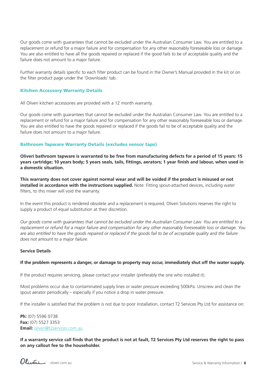Our goods come with guarantees that cannot be excluded under the Australian Consumer Law. You are entitled to a replacement or refund for a major failure and for compensation for any other reasonably foreseeable loss or damage. You are also entitled to have all the goods repaired or replaced if the good fails to be of acceptable quality and the failure does not amount to a major failure.

Further warranty details specific to each filter product can be found in the Owner's Manual provided in the kit or on the filter product page under the 'Downloads' tab.

# Kitchen Accessory Warranty Details

All Oliveri kitchen accessories are provided with a 12 month warranty.

Our goods come with guarantees that cannot be excluded under the Australian Consumer Law. You are entitled to a replacement or refund for a major failure and for compensation for any other reasonably foreseeable loss or damage. You are also entitled to have the goods repaired or replaced if the goods fail to be of acceptable quality and the failure does not amount to a major failure.

## Bathroom Tapware Warranty Details (excludes sensor taps)

**Oliveri bathroom tapware is warranted to be free from manufacturing defects for a period of 15 years: 15 years cartridge; 10 years body; 5 years seals, tails, fittings, aerators; 1 year finish and labour, when used in a domestic situation.**

**This warranty does not cover against normal wear and will be voided if the product is misused or not installed in accordance with the instructions supplied.** Note: Fitting spout-attached devices, including water filters, to this mixer will void the warranty.

In the event this product is rendered obsolete and a replacement is required, Oliveri Solutions reserves the right to supply a product of equal substitution at their discretion.

*Our goods come with guarantees that cannot be excluded under the Australian Consumer Law. You are entitled to a replacement or refund for a major failure and compensation for any other reasonably foreseeable loss or damage. You*  are also entitled to have the goods repaired or replaced if the goods fail to be of acceptable quality and the failure *does not amount to a major failure.* 

#### **Service Details**

#### **If the problem represents a danger, or damage to property may occur, immediately shut off the water supply.**

If the product requires servicing, please contact your installer (preferably the one who installed it).

Most problems occur due to contaminated supply lines or water pressure exceeding 500kPa. Unscrew and clean the spout aerator periodically – especially if you notice a drop in water pressure.

If the installer is satisfied that the problem is not due to poor installation, contact T2 Services Pty Ltd for assistance on:

**Ph:** (07) 5596 0738 **Fax:** (07) 5527 3353 **Email:** oliveri@t2services.com.au

**If a warranty service call finds that the product is not at fault, T2 Services Pty Ltd reserves the right to pass on any callout fee to the householder.**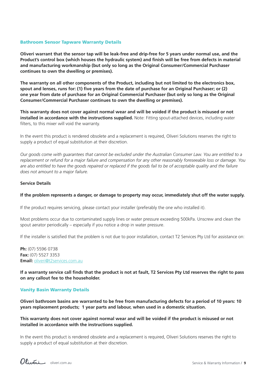## Bathroom Sensor Tapware Warranty Details

**Oliveri warrant that the sensor tap will be leak-free and drip-free for 5 years under normal use, and the Product's control box (which houses the hydraulic system) and finish will be free from defects in material and manufacturing workmanship (but only so long as the Original Consumer/Commercial Purchaser continues to own the dwelling or premises).**

**The warranty on all other components of the Product, including but not limited to the electronics box, spout and lenses, runs for: (1) five years from the date of purchase for an Original Purchaser; or (2) one year from date of purchase for an Original Commercial Purchaser (but only so long as the Original Consumer/Commercial Purchaser continues to own the dwelling or premises).**

**This warranty does not cover against normal wear and will be voided if the product is misused or not installed in accordance with the instructions supplied.** Note: Fitting spout-attached devices, including water filters, to this mixer will void the warranty.

In the event this product is rendered obsolete and a replacement is required, Oliveri Solutions reserves the right to supply a product of equal substitution at their discretion.

*Our goods come with guarantees that cannot be excluded under the Australian Consumer Law. You are entitled to a replacement or refund for a major failure and compensation for any other reasonably foreseeable loss or damage. You*  are also entitled to have the goods repaired or replaced if the goods fail to be of acceptable quality and the failure *does not amount to a major failure.* 

## **Service Details**

#### **If the problem represents a danger, or damage to property may occur, immediately shut off the water supply.**

If the product requires servicing, please contact your installer (preferably the one who installed it).

Most problems occur due to contaminated supply lines or water pressure exceeding 500kPa. Unscrew and clean the spout aerator periodically – especially if you notice a drop in water pressure.

If the installer is satisfied that the problem is not due to poor installation, contact T2 Services Pty Ltd for assistance on:

**Ph:** (07) 5596 0738 **Fax:** (07) 5527 3353 **Email:** oliveri@t2services.com.au

**If a warranty service call finds that the product is not at fault, T2 Services Pty Ltd reserves the right to pass on any callout fee to the householder.**

# Vanity Basin Warranty Details

**Oliveri bathroom basins are warranted to be free from manufacturing defects for a period of 10 years: 10 years replacement products; 1 year parts and labour, when used in a domestic situation.**

**This warranty does not cover against normal wear and will be voided if the product is misused or not installed in accordance with the instructions supplied.**

In the event this product is rendered obsolete and a replacement is required, Oliveri Solutions reserves the right to supply a product of equal substitution at their discretion.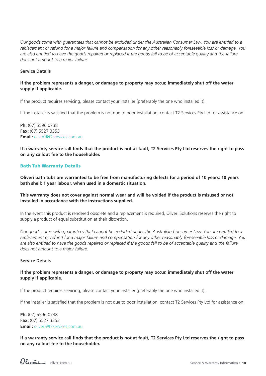*Our goods come with guarantees that cannot be excluded under the Australian Consumer Law. You are entitled to a replacement or refund for a major failure and compensation for any other reasonably foreseeable loss or damage. You*  are also entitled to have the goods repaired or replaced if the goods fail to be of acceptable quality and the failure *does not amount to a major failure.* 

# **Service Details**

# **If the problem represents a danger, or damage to property may occur, immediately shut off the water supply if applicable.**

If the product requires servicing, please contact your installer (preferably the one who installed it).

If the installer is satisfied that the problem is not due to poor installation, contact T2 Services Pty Ltd for assistance on:

**Ph:** (07) 5596 0738 **Fax:** (07) 5527 3353 **Email:** oliveri@t2services.com.au

**If a warranty service call finds that the product is not at fault, T2 Services Pty Ltd reserves the right to pass on any callout fee to the householder.**

# Bath Tub Warranty Details

**Oliveri bath tubs are warranted to be free from manufacturing defects for a period of 10 years: 10 years bath shell; 1 year labour, when used in a domestic situation.**

# **This warranty does not cover against normal wear and will be voided if the product is misused or not installed in accordance with the instructions supplied.**

In the event this product is rendered obsolete and a replacement is required, Oliveri Solutions reserves the right to supply a product of equal substitution at their discretion.

*Our goods come with guarantees that cannot be excluded under the Australian Consumer Law. You are entitled to a replacement or refund for a major failure and compensation for any other reasonably foreseeable loss or damage. You*  are also entitled to have the goods repaired or replaced if the goods fail to be of acceptable quality and the failure *does not amount to a major failure.* 

#### **Service Details**

# **If the problem represents a danger, or damage to property may occur, immediately shut off the water supply if applicable.**

If the product requires servicing, please contact your installer (preferably the one who installed it).

If the installer is satisfied that the problem is not due to poor installation, contact T2 Services Pty Ltd for assistance on:

**Ph:** (07) 5596 0738 **Fax:** (07) 5527 3353 **Email:** oliveri@t2services.com.au

**If a warranty service call finds that the product is not at fault, T2 Services Pty Ltd reserves the right to pass on any callout fee to the householder.**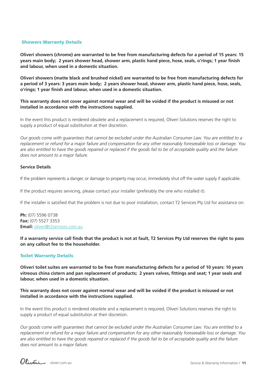## Showers Warranty Details

**Oliveri showers (chrome) are warranted to be free from manufacturing defects for a period of 15 years: 15 years main body; 2 years shower head, shower arm, plastic hand piece, hose, seals, o'rings; 1 year finish and labour, when used in a domestic situation.**

**Oliveri showers (matte black and brushed nickel) are warranted to be free from manufacturing defects for a period of 3 years: 3 years main body; 2 years shower head, shower arm, plastic hand piece, hose, seals, o'rings; 1 year finish and labour, when used in a domestic situation.**

**This warranty does not cover against normal wear and will be voided if the product is misused or not installed in accordance with the instructions supplied.**

In the event this product is rendered obsolete and a replacement is required, Oliveri Solutions reserves the right to supply a product of equal substitution at their discretion.

*Our goods come with guarantees that cannot be excluded under the Australian Consumer Law. You are entitled to a replacement or refund for a major failure and compensation for any other reasonably foreseeable loss or damage. You*  are also entitled to have the goods repaired or replaced if the goods fail to be of acceptable quality and the failure *does not amount to a major failure.* 

#### **Service Details**

If the problem represents a danger, or damage to property may occur, immediately shut off the water supply if applicable.

If the product requires servicing, please contact your installer (preferably the one who installed it).

If the installer is satisfied that the problem is not due to poor installation, contact T2 Services Pty Ltd for assistance on:

**Ph:** (07) 5596 0738 **Fax:** (07) 5527 3353 **Email:** oliveri@t2services.com.au

**If a warranty service call finds that the product is not at fault, T2 Services Pty Ltd reserves the right to pass on any callout fee to the householder.**

# Toilet Warranty Details

**Oliveri toilet suites are warranted to be free from manufacturing defects for a period of 10 years: 10 years vitreous china cistern and pan replacement of products; 2 years valves, fittings and seat; 1 year seals and labour, when used in a domestic situation.**

# **This warranty does not cover against normal wear and will be voided if the product is misused or not installed in accordance with the instructions supplied.**

In the event this product is rendered obsolete and a replacement is required, Oliveri Solutions reserves the right to supply a product of equal substitution at their discretion.

*Our goods come with guarantees that cannot be excluded under the Australian Consumer Law. You are entitled to a replacement or refund for a major failure and compensation for any other reasonably foreseeable loss or damage. You*  are also entitled to have the goods repaired or replaced if the goods fail to be of acceptable quality and the failure *does not amount to a major failure.*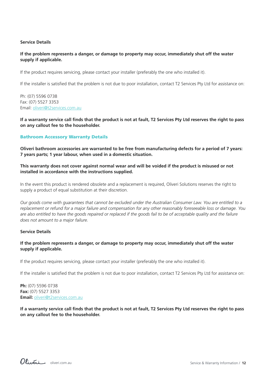## **Service Details**

# **If the problem represents a danger, or damage to property may occur, immediately shut off the water supply if applicable.**

If the product requires servicing, please contact your installer (preferably the one who installed it).

If the installer is satisfied that the problem is not due to poor installation, contact T2 Services Pty Ltd for assistance on:

Ph: (07) 5596 0738 Fax: (07) 5527 3353 Email: oliveri@t2services.com.au

**If a warranty service call finds that the product is not at fault, T2 Services Pty Ltd reserves the right to pass on any callout fee to the householder.**

## Bathroom Accessory Warranty Details

**Oliveri bathroom accessories are warranted to be free from manufacturing defects for a period of 7 years: 7 years parts; 1 year labour, when used in a domestic situation.**

# **This warranty does not cover against normal wear and will be voided if the product is misused or not installed in accordance with the instructions supplied.**

In the event this product is rendered obsolete and a replacement is required, Oliveri Solutions reserves the right to supply a product of equal substitution at their discretion.

*Our goods come with guarantees that cannot be excluded under the Australian Consumer Law. You are entitled to a replacement or refund for a major failure and compensation for any other reasonably foreseeable loss or damage. You*  are also entitled to have the goods repaired or replaced if the goods fail to be of acceptable quality and the failure *does not amount to a major failure.* 

# **Service Details**

# **If the problem represents a danger, or damage to property may occur, immediately shut off the water supply if applicable.**

If the product requires servicing, please contact your installer (preferably the one who installed it).

If the installer is satisfied that the problem is not due to poor installation, contact T2 Services Pty Ltd for assistance on:

**Ph:** (07) 5596 0738 **Fax:** (07) 5527 3353 **Email:** oliveri@t2services.com.au

**If a warranty service call finds that the product is not at fault, T2 Services Pty Ltd reserves the right to pass on any callout fee to the householder.**